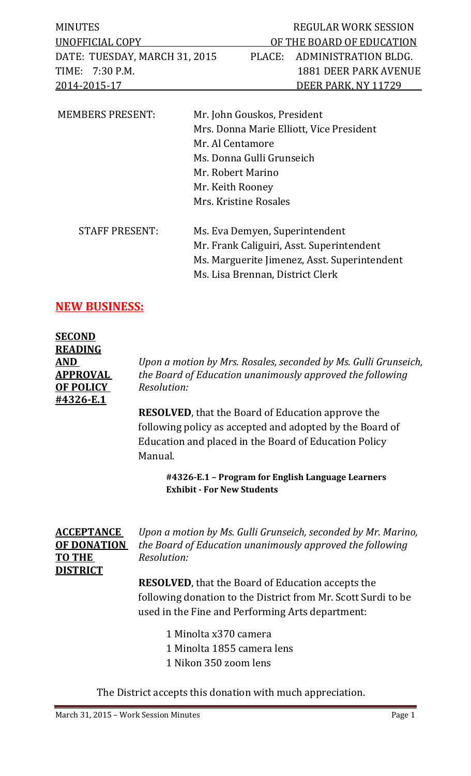| MINUTES                       | <b>REGULAR WORK SESSION</b>  |
|-------------------------------|------------------------------|
| UNOFFICIAL COPY               | OF THE BOARD OF EDUCATION    |
| DATE: TUESDAY, MARCH 31, 2015 | PLACE: ADMINISTRATION BLDG.  |
| TIME: 7:30 P.M.               | <b>1881 DEER PARK AVENUE</b> |
| 2014-2015-17                  | DEER PARK, NY 11729          |
|                               |                              |

| <b>MEMBERS PRESENT:</b> | Mr. John Gouskos, President                  |  |  |
|-------------------------|----------------------------------------------|--|--|
|                         | Mrs. Donna Marie Elliott, Vice President     |  |  |
|                         | Mr. Al Centamore                             |  |  |
|                         | Ms. Donna Gulli Grunseich                    |  |  |
|                         | Mr. Robert Marino                            |  |  |
|                         | Mr. Keith Rooney                             |  |  |
|                         | Mrs. Kristine Rosales                        |  |  |
| <b>STAFF PRESENT:</b>   | Ms. Eva Demyen, Superintendent               |  |  |
|                         | Mr. Frank Caliguiri, Asst. Superintendent    |  |  |
|                         | Ms. Marguerite Jimenez, Asst. Superintendent |  |  |
|                         | Ms. Lisa Brennan, District Clerk             |  |  |
|                         |                                              |  |  |

### **NEW BUSINESS:**

| <b>SECOND</b>    |                                                                 |
|------------------|-----------------------------------------------------------------|
| <b>READING</b>   |                                                                 |
| <b>AND</b>       | Upon a motion by Mrs. Rosales, seconded by Ms. Gulli Grunseich, |
| <b>APPROVAL</b>  | the Board of Education unanimously approved the following       |
| <b>OF POLICY</b> | Resolution:                                                     |
| #4326-E.1        |                                                                 |
|                  | <b>DESOLVED</b> that the Board of Education approve the         |

**RESOLVED**, that the Board of Education approve the following policy as accepted and adopted by the Board of Education and placed in the Board of Education Policy Manual.

> **#4326-E.1 – Program for English Language Learners Exhibit - For New Students**

# **TO THE** *Resolution:* **DISTRICT**

**ACCEPTANCE** *Upon a motion by Ms. Gulli Grunseich, seconded by Mr. Marino,* **OF DONATION** *the Board of Education unanimously approved the following*

> **RESOLVED**, that the Board of Education accepts the following donation to the District from Mr. Scott Surdi to be used in the Fine and Performing Arts department:

- 1 Minolta x370 camera 1 Minolta 1855 camera lens
- 
- 1 Nikon 350 zoom lens

The District accepts this donation with much appreciation.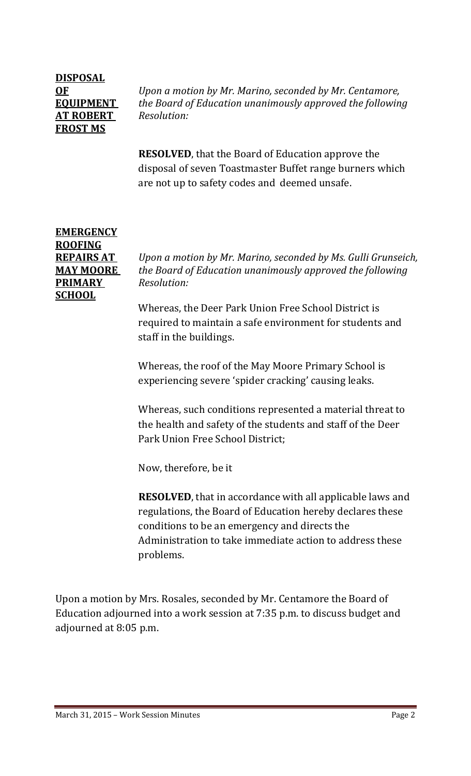## **DISPOSAL AT ROBERT** *Resolution:* **FROST MS**

**OF** *Upon a motion by Mr. Marino, seconded by Mr. Centamore,* **EQUIPMENT** *the Board of Education unanimously approved the following*

> **RESOLVED**, that the Board of Education approve the disposal of seven Toastmaster Buffet range burners which are not up to safety codes and deemed unsafe.

### **EMERGENCY ROOFING PRIMARY** *Resolution:* **SCHOOL**

**REPAIRS AT** *Upon a motion by Mr. Marino, seconded by Ms. Gulli Grunseich,* **MAY MOORE** *the Board of Education unanimously approved the following*

> Whereas, the Deer Park Union Free School District is required to maintain a safe environment for students and staff in the buildings.

Whereas, the roof of the May Moore Primary School is experiencing severe 'spider cracking' causing leaks.

Whereas, such conditions represented a material threat to the health and safety of the students and staff of the Deer Park Union Free School District;

Now, therefore, be it

**RESOLVED**, that in accordance with all applicable laws and regulations, the Board of Education hereby declares these conditions to be an emergency and directs the Administration to take immediate action to address these problems.

Upon a motion by Mrs. Rosales, seconded by Mr. Centamore the Board of Education adjourned into a work session at 7:35 p.m. to discuss budget and adjourned at 8:05 p.m.